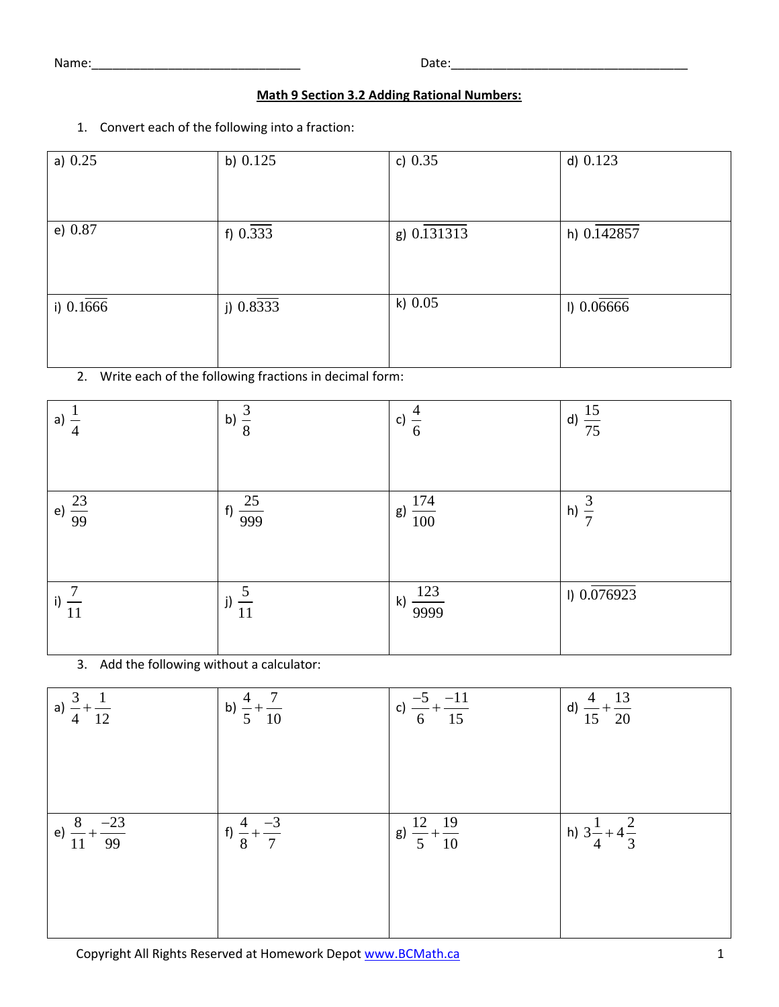Name:\_\_\_\_\_\_\_\_\_\_\_\_\_\_\_\_\_\_\_\_\_\_\_\_\_\_\_\_\_\_ Date:\_\_\_\_\_\_\_\_\_\_\_\_\_\_\_\_\_\_\_\_\_\_\_\_\_\_\_\_\_\_\_\_\_\_

## **Math 9 Section 3.2 Adding Rational Numbers:**

1. Convert each of the following into a fraction:

| a) $0.25$   | b) $0.125$            | c) $0.35$   | d) 0.123    |
|-------------|-----------------------|-------------|-------------|
| e) $0.87$   | f) $0.\overline{333}$ | g) 0.131313 | h) 0.142857 |
| i) $0.1666$ | j) $0.8333$           | k) $0.05$   | 1) 0.06666  |

2. Write each of the following fractions in decimal form:

| a)<br>$\overline{4}$ | b) $\frac{5}{8}$               | c)<br>6                 | d) $\frac{15}{75}$  |
|----------------------|--------------------------------|-------------------------|---------------------|
| e) $\frac{23}{99}$   | f) $\frac{25}{999}$            | $\frac{174}{100}$<br>g) | $(h) - \frac{1}{7}$ |
| i)<br>11             | $\cup$<br>j)<br>$\frac{1}{11}$ | k) $\frac{123}{9999}$   | $1)$ 0.076923       |

3. Add the following without a calculator:

| a) $\frac{3}{4} + \frac{1}{12}$    | b) $\frac{4}{5} + \frac{7}{10}$ | c) $\frac{-5}{6} + \frac{-11}{15}$ | d) $\frac{4}{15} + \frac{13}{20}$ |
|------------------------------------|---------------------------------|------------------------------------|-----------------------------------|
| e) $\frac{8}{11} + \frac{-23}{99}$ | f) $\frac{4}{8} + \frac{-3}{7}$ | g) $\frac{12}{5} + \frac{19}{10}$  | h) $3\frac{1}{4} + 4\frac{2}{3}$  |
|                                    |                                 |                                    |                                   |